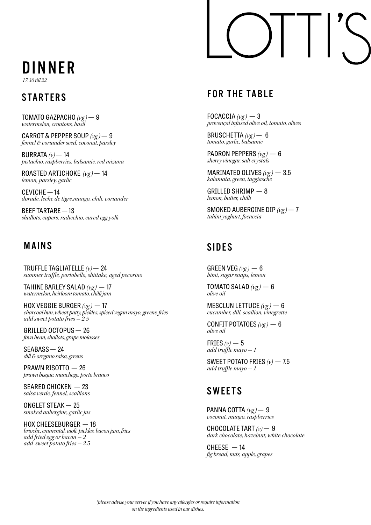## DINNER

*17.30 till 22*

TOMATO GAZPACHO *(vg )* — 9 *watermelon, croutons, basil*

CARROT & PEPPER SOUP *(vg )* — 9 *fennel & coriander seed, coconut, parsley*

BURRATA *(v)* — 14 *pistachio, raspberries, balsamic, red mizuna*

ROASTED ARTICHOKE *(vg )* — 14 *lemon, parsley, garlic*

CEVICHE — 14 *dorade, leche de tigre,mango, chili, coriander*

BEEF TARTARE — 13 *shallots, capers, radicchio, cured egg yolk*

#### MAINS

TRUFFLE TAGLIATELLE *(v)* — 24 *summer truffle, portobello, shiitake, aged pecorino*

TAHINI BARLEY SALAD *(vg )* — 17 *watermelon, heirloom tomato, chilli jam*

HOX VEGGIE BURGER *(vg )* — 17 *charcoal bun, wheat patty, pickles, spiced vegan mayo, greens, fries add sweet potato fries - 2.5*

GRILLED OCTOPUS — 26 *fava bean, shallots, grape molasses*

SEABASS — 24 *dill & oregano salsa, greens*

PRAWN RISOTTO — 26 *prawn bisque, manchego, porto branco*

SEARED CHICKEN — 23 *salsa verde, fennel, scallions*

ONGLET STEAK — 25 *smoked aubergine, garlic jus*

HOX CHEESEBURGER — 18 *brioche, emmental, aioli, pickles, bacon jam, fries add fried egg or bacon - 2 add sweet potato fries - 2.5*

### STARTERS FOR THE TABLE

FOCACCIA  $(\nu g)$  - 3 *provençal infused olive oil, tomato, olives*

BRUSCHETTA *(vg )* — 6 *tomato, garlic, balsamic*

PADRON PEPPERS  $(vg)$  - 6 *sherry vinegar, salt crystals*

MARINATED OLIVES *(vg )* — 3.5 *kalamata, green, taggiasche* 

GRILLED SHRIMP — 8 *lemon, butter, chilli*

SMOKED AUBERGINE DIP *(vg )* — 7 *tahini yoghurt, focaccia*

#### SIDES

GREEN VEG  $(\nu g)$  – 6 *bimi, sugar snaps, lemon*

TOMATO SALAD  $(\nu g)$  - 6 *olive oil*

MESCLUN LETTUCE *(vg )* — 6 *cucumber, dill, scallion, vinegrette*

CONFIT POTATOES  $(\nu g)$  - 6 *olive oil*

FRIES  $(v)$  – 5 *add truffle mayo - 1*

SWEET POTATO FRIES *(v)* — 7.5 *add truffle mayo - 1*

### **SWEETS**

PANNA COTTA *(vg )* — 9 *coconut, mango, raspberries*

CHOCOLATE TART *(v)* — 9 *dark chocolate, hazelnut, white chocolate*

 $CHEESE - 14$ *fig bread, nuts, apple, grapes*